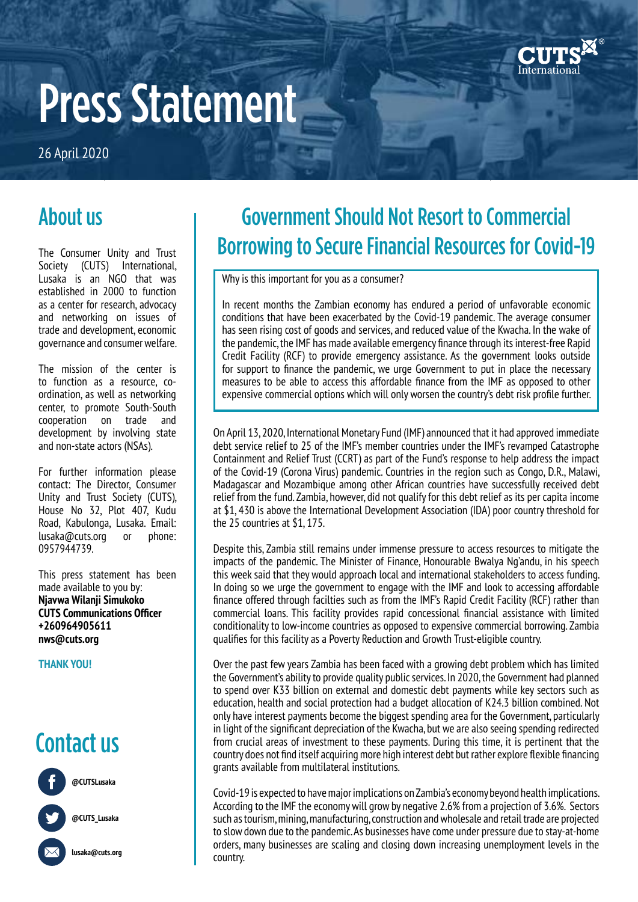

# Press Statement

26 April 2020

#### About us

The Consumer Unity and Trust Society (CUTS) International, Lusaka is an NGO that was established in 2000 to function as a center for research, advocacy and networking on issues of trade and development, economic governance and consumer welfare.

The mission of the center is to function as a resource, coordination, as well as networking center, to promote South-South cooperation on trade and development by involving state and non-state actors (NSAs).

For further information please contact: The Director, Consumer Unity and Trust Society (CUTS), House No 32, Plot 407, Kudu Road, Kabulonga, Lusaka. Email: lusaka@cuts.org or phone: 0957944739.

This press statement has been made available to you by: **Njavwa Wilanji Simukoko CUTS Communications Officer +260964905611 nws@cuts.org** 

**THANK YOU!**

### Contact us



### Government Should Not Resort to Commercial Borrowing to Secure Financial Resources for Covid-19

Why is this important for you as a consumer?

In recent months the Zambian economy has endured a period of unfavorable economic conditions that have been exacerbated by the Covid-19 pandemic. The average consumer has seen rising cost of goods and services, and reduced value of the Kwacha. In the wake of the pandemic, the IMF has made available emergency finance through its interest-free Rapid Credit Facility (RCF) to provide emergency assistance. As the government looks outside for support to finance the pandemic, we urge Government to put in place the necessary measures to be able to access this affordable finance from the IMF as opposed to other expensive commercial options which will only worsen the country's debt risk profile further.

On April 13, 2020, International Monetary Fund (IMF) announced that it had approved immediate debt service relief to 25 of the IMF's member countries under the IMF's revamped Catastrophe Containment and Relief Trust (CCRT) as part of the Fund's response to help address the impact of the Covid-19 (Corona Virus) pandemic. Countries in the region such as Congo, D.R., Malawi, Madagascar and Mozambique among other African countries have successfully received debt relief from the fund. Zambia, however, did not qualify for this debt relief as its per capita income at \$1, 430 is above the International Development Association (IDA) poor country threshold for the 25 countries at \$1, 175.

Despite this, Zambia still remains under immense pressure to access resources to mitigate the impacts of the pandemic. The Minister of Finance, Honourable Bwalya Ng'andu, in his speech this week said that they would approach local and international stakeholders to access funding. In doing so we urge the government to engage with the IMF and look to accessing affordable finance offered through facilties such as from the IMF's Rapid Credit Facility (RCF) rather than commercial loans. This facility provides rapid concessional financial assistance with limited conditionality to low-income countries as opposed to expensive commercial borrowing. Zambia qualifies for this facility as a Poverty Reduction and Growth Trust-eligible country.

Over the past few years Zambia has been faced with a growing debt problem which has limited the Government's ability to provide quality public services. In 2020, the Government had planned to spend over K33 billion on external and domestic debt payments while key sectors such as education, health and social protection had a budget allocation of K24.3 billion combined. Not only have interest payments become the biggest spending area for the Government, particularly in light of the significant depreciation of the Kwacha, but we are also seeing spending redirected from crucial areas of investment to these payments. During this time, it is pertinent that the country does not find itself acquiring more high interest debt but rather explore flexible financing grants available from multilateral institutions.

Covid-19 is expected to have major implications on Zambia's economy beyond health implications. According to the IMF the economy will grow by negative 2.6% from a projection of 3.6%. Sectors such as tourism, mining, manufacturing, construction and wholesale and retail trade are projected to slow down due to the pandemic. As businesses have come under pressure due to stay-at-home orders, many businesses are scaling and closing down increasing unemployment levels in the country.